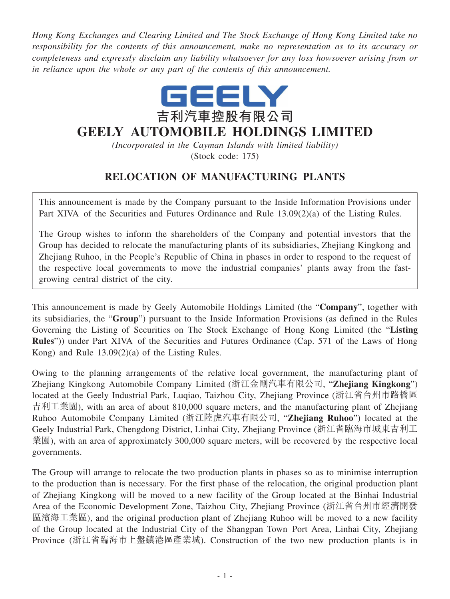*Hong Kong Exchanges and Clearing Limited and The Stock Exchange of Hong Kong Limited take no responsibility for the contents of this announcement, make no representation as to its accuracy or completeness and expressly disclaim any liability whatsoever for any loss howsoever arising from or in reliance upon the whole or any part of the contents of this announcement.*



## **GEELY AUTOMOBILE HOLDINGS LIMITED**

*(Incorporated in the Cayman Islands with limited liability)* (Stock code: 175)

## **RELOCATION OF MANUFACTURING PLANTS**

This announcement is made by the Company pursuant to the Inside Information Provisions under Part XIVA of the Securities and Futures Ordinance and Rule 13.09(2)(a) of the Listing Rules.

The Group wishes to inform the shareholders of the Company and potential investors that the Group has decided to relocate the manufacturing plants of its subsidiaries, Zhejiang Kingkong and Zhejiang Ruhoo, in the People's Republic of China in phases in order to respond to the request of the respective local governments to move the industrial companies' plants away from the fastgrowing central district of the city.

This announcement is made by Geely Automobile Holdings Limited (the "**Company**", together with its subsidiaries, the "**Group**") pursuant to the Inside Information Provisions (as defined in the Rules Governing the Listing of Securities on The Stock Exchange of Hong Kong Limited (the "**Listing Rules**")) under Part XIVA of the Securities and Futures Ordinance (Cap. 571 of the Laws of Hong Kong) and Rule 13.09(2)(a) of the Listing Rules.

Owing to the planning arrangements of the relative local government, the manufacturing plant of Zhejiang Kingkong Automobile Company Limited (浙江金剛汽車有限公司, "**Zhejiang Kingkong**") located at the Geely Industrial Park, Luqiao, Taizhou City, Zhejiang Province (浙江省台州市路橋區 吉利工業園), with an area of about 810,000 square meters, and the manufacturing plant of Zhejiang Ruhoo Automobile Company Limited (浙江陸虎汽車有限公司, "**Zhejiang Ruhoo**") located at the Geely Industrial Park, Chengdong District, Linhai City, Zhejiang Province (浙江省臨海市城東吉利工 業園), with an area of approximately 300,000 square meters, will be recovered by the respective local governments.

The Group will arrange to relocate the two production plants in phases so as to minimise interruption to the production than is necessary. For the first phase of the relocation, the original production plant of Zhejiang Kingkong will be moved to a new facility of the Group located at the Binhai Industrial Area of the Economic Development Zone, Taizhou City, Zhejiang Province (浙江省台州市經濟開發 區濱海工業區), and the original production plant of Zhejiang Ruhoo will be moved to a new facility of the Group located at the Industrial City of the Shangpan Town Port Area, Linhai City, Zhejiang Province (浙江省臨海市上盤鎮�區產業城). Construction of the two new production plants is in